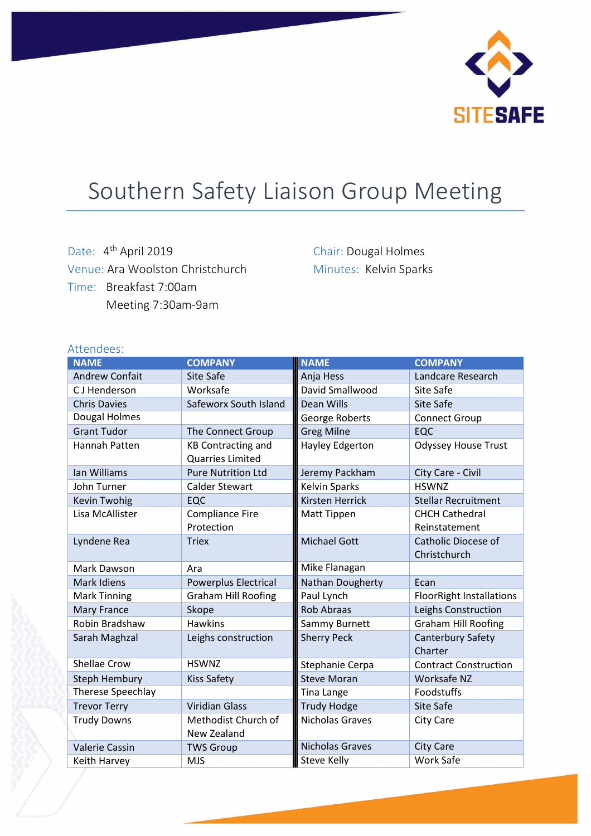

# Southern Safety Liaison Group Meeting

Date: 4<sup>th</sup> April 2019 Venue: Ara Woolston Christchurch Time: Breakfast 7:00am Meeting 7:30am-9am

Chair: Dougal Holmes Minutes: Kelvin Sparks

| Attendees:               |                                                      |                        |                                 |
|--------------------------|------------------------------------------------------|------------------------|---------------------------------|
| <b>NAME</b>              | <b>COMPANY</b>                                       | <b>NAME</b>            | <b>COMPANY</b>                  |
| <b>Andrew Confait</b>    | Site Safe                                            | Anja Hess              | Landcare Research               |
| CJ Henderson             | Worksafe                                             | David Smallwood        | Site Safe                       |
| <b>Chris Davies</b>      | Safeworx South Island                                | Dean Wills             | Site Safe                       |
| Dougal Holmes            |                                                      | George Roberts         | <b>Connect Group</b>            |
| <b>Grant Tudor</b>       | The Connect Group                                    | <b>Greg Milne</b>      | EQC                             |
| Hannah Patten            | <b>KB Contracting and</b><br><b>Quarries Limited</b> | <b>Hayley Edgerton</b> | <b>Odyssey House Trust</b>      |
| Ian Williams             | <b>Pure Nutrition Ltd</b>                            | Jeremy Packham         | City Care - Civil               |
| John Turner              | <b>Calder Stewart</b>                                | <b>Kelvin Sparks</b>   | <b>HSWNZ</b>                    |
| Kevin Twohig             | EQC                                                  | <b>Kirsten Herrick</b> | <b>Stellar Recruitment</b>      |
| Lisa McAllister          | <b>Compliance Fire</b>                               | Matt Tippen            | <b>CHCH Cathedral</b>           |
|                          | Protection                                           |                        | Reinstatement                   |
| Lyndene Rea              | <b>Triex</b>                                         | <b>Michael Gott</b>    | Catholic Diocese of             |
|                          |                                                      |                        | Christchurch                    |
| Mark Dawson              | Ara                                                  | Mike Flanagan          |                                 |
| Mark Idiens              | Powerplus Electrical                                 | Nathan Dougherty       | Ecan                            |
| <b>Mark Tinning</b>      | <b>Graham Hill Roofing</b>                           | Paul Lynch             | <b>FloorRight Installations</b> |
| Mary France              | Skope                                                | <b>Rob Abraas</b>      | Leighs Construction             |
| Robin Bradshaw           | <b>Hawkins</b>                                       | Sammy Burnett          | <b>Graham Hill Roofing</b>      |
| Sarah Maghzal            | Leighs construction                                  | <b>Sherry Peck</b>     | Canterbury Safety               |
|                          |                                                      |                        | Charter                         |
| <b>Shellae Crow</b>      | <b>HSWNZ</b>                                         | Stephanie Cerpa        | <b>Contract Construction</b>    |
| <b>Steph Hembury</b>     | <b>Kiss Safety</b>                                   | <b>Steve Moran</b>     | Worksafe NZ                     |
| <b>Therese Speechlay</b> |                                                      | <b>Tina Lange</b>      | Foodstuffs                      |
| <b>Trevor Terry</b>      | <b>Viridian Glass</b>                                | <b>Trudy Hodge</b>     | Site Safe                       |
| <b>Trudy Downs</b>       | Methodist Church of                                  | Nicholas Graves        | City Care                       |
|                          | New Zealand                                          |                        |                                 |
| <b>Valerie Cassin</b>    | <b>TWS Group</b>                                     | Nicholas Graves        | <b>City Care</b>                |
| Keith Harvey             | <b>MJS</b>                                           | <b>Steve Kelly</b>     | Work Safe                       |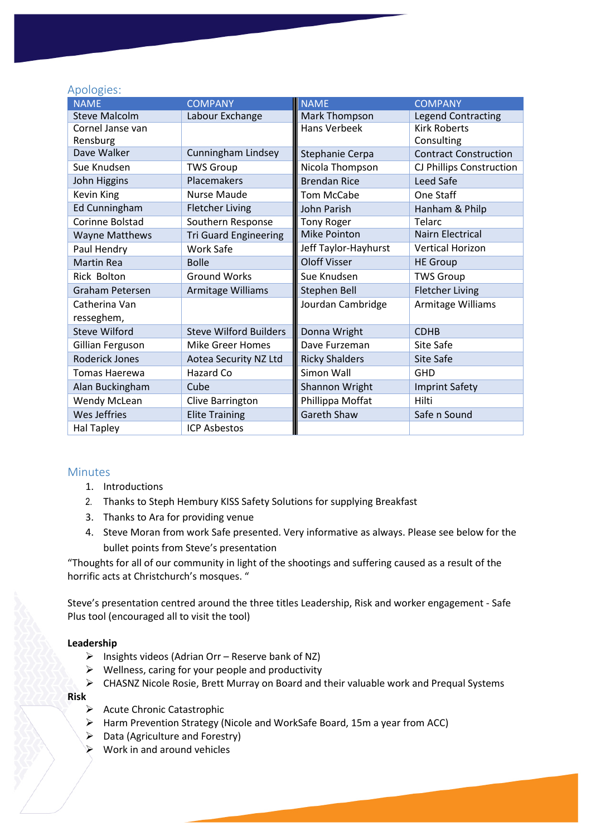# Apologies:

| <b>NAME</b>            | <b>COMPANY</b>                | <b>NAME</b>           | <b>COMPANY</b>               |
|------------------------|-------------------------------|-----------------------|------------------------------|
| <b>Steve Malcolm</b>   | Labour Exchange               | Mark Thompson         | <b>Legend Contracting</b>    |
| Cornel Janse van       |                               | <b>Hans Verbeek</b>   | <b>Kirk Roberts</b>          |
| Rensburg               |                               |                       | Consulting                   |
| Dave Walker            | Cunningham Lindsey            | Stephanie Cerpa       | <b>Contract Construction</b> |
| Sue Knudsen            | <b>TWS Group</b>              | Nicola Thompson       | CJ Phillips Construction     |
| John Higgins           | Placemakers                   | <b>Brendan Rice</b>   | Leed Safe                    |
| Kevin King             | Nurse Maude                   | <b>Tom McCabe</b>     | One Staff                    |
| Ed Cunningham          | <b>Fletcher Living</b>        | <b>John Parish</b>    | Hanham & Philp               |
| Corinne Bolstad        | Southern Response             | <b>Tony Roger</b>     | Telarc                       |
| <b>Wayne Matthews</b>  | <b>Tri Guard Engineering</b>  | <b>Mike Pointon</b>   | <b>Nairn Electrical</b>      |
| Paul Hendry            | Work Safe                     | Jeff Taylor-Hayhurst  | <b>Vertical Horizon</b>      |
| Martin Rea             | <b>Bolle</b>                  | <b>Oloff Visser</b>   | <b>HE Group</b>              |
| <b>Rick Bolton</b>     | <b>Ground Works</b>           | Sue Knudsen           | <b>TWS Group</b>             |
| <b>Graham Petersen</b> | Armitage Williams             | <b>Stephen Bell</b>   | <b>Fletcher Living</b>       |
| Catherina Van          |                               | Jourdan Cambridge     | Armitage Williams            |
| resseghem,             |                               |                       |                              |
| <b>Steve Wilford</b>   | <b>Steve Wilford Builders</b> | Donna Wright          | <b>CDHB</b>                  |
| Gillian Ferguson       | <b>Mike Greer Homes</b>       | Dave Furzeman         | Site Safe                    |
| Roderick Jones         | Aotea Security NZ Ltd         | <b>Ricky Shalders</b> | Site Safe                    |
| Tomas Haerewa          | Hazard Co                     | Simon Wall            | <b>GHD</b>                   |
| Alan Buckingham        | Cube                          | Shannon Wright        | <b>Imprint Safety</b>        |
| <b>Wendy McLean</b>    | Clive Barrington              | Phillippa Moffat      | Hilti                        |
| Wes Jeffries           | <b>Elite Training</b>         | Gareth Shaw           | Safe n Sound                 |
| <b>Hal Tapley</b>      | <b>ICP Asbestos</b>           |                       |                              |

# **Minutes**

- 1. Introductions
- 2. Thanks to Steph Hembury KISS Safety Solutions for supplying Breakfast
- 3. Thanks to Ara for providing venue
- 4. Steve Moran from work Safe presented. Very informative as always. Please see below for the bullet points from Steve's presentation

"Thoughts for all of our community in light of the shootings and suffering caused as a result of the horrific acts at Christchurch's mosques. "

Steve's presentation centred around the three titles Leadership, Risk and worker engagement - Safe Plus tool (encouraged all to visit the tool)

#### **Leadership**

- $\triangleright$  Insights videos (Adrian Orr Reserve bank of NZ)
- $\triangleright$  Wellness, caring for your people and productivity
- CHASNZ Nicole Rosie, Brett Murray on Board and their valuable work and Prequal Systems

**Risk**

- $\triangleright$  Acute Chronic Catastrophic
- Harm Prevention Strategy (Nicole and WorkSafe Board, 15m a year from ACC)
- $\triangleright$  Data (Agriculture and Forestry)
- $\triangleright$  Work in and around vehicles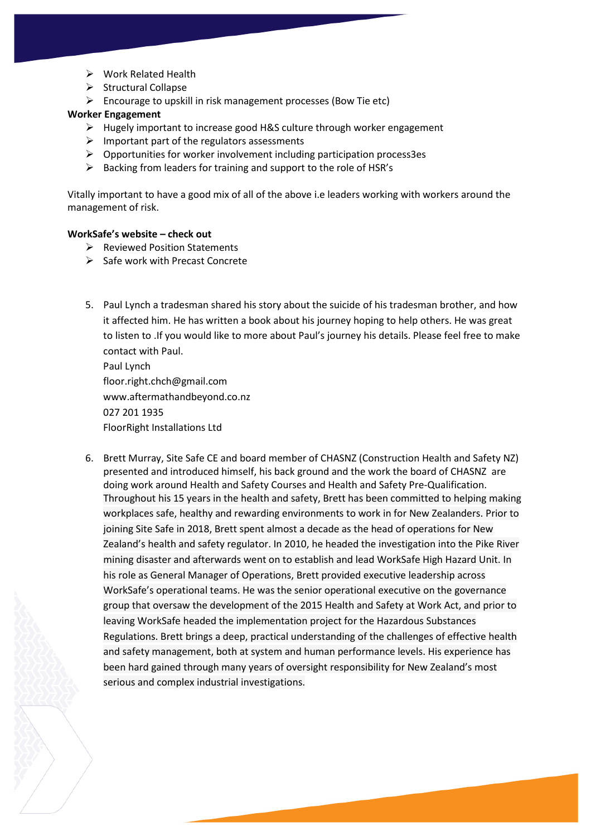- $\triangleright$  Work Related Health
- $\triangleright$  Structural Collapse
- $\triangleright$  Encourage to upskill in risk management processes (Bow Tie etc)

### **Worker Engagement**

- $\triangleright$  Hugely important to increase good H&S culture through worker engagement
- $\triangleright$  Important part of the regulators assessments
- $\triangleright$  Opportunities for worker involvement including participation process3es
- $\triangleright$  Backing from leaders for training and support to the role of HSR's

Vitally important to have a good mix of all of the above i.e leaders working with workers around the management of risk.

#### **WorkSafe's website – check out**

- $\triangleright$  Reviewed Position Statements
- $\triangleright$  Safe work with Precast Concrete
- 5. Paul Lynch a tradesman shared his story about the suicide of his tradesman brother, and how it affected him. He has written a book about his journey hoping to help others. He was great to listen to .If you would like to more about Paul's journey his details. Please feel free to make contact with Paul.

Paul Lynch floor.right.chch@gmail.com www.aftermathandbeyond.co.nz 027 201 1935 FloorRight Installations Ltd

6. Brett Murray, Site Safe CE and board member of CHASNZ (Construction Health and Safety NZ) presented and introduced himself, his back ground and the work the board of CHASNZ are doing work around Health and Safety Courses and Health and Safety Pre-Qualification. Throughout his 15 years in the health and safety, Brett has been committed to helping making workplaces safe, healthy and rewarding environments to work in for New Zealanders. Prior to joining Site Safe in 2018, Brett spent almost a decade as the head of operations for New Zealand's health and safety regulator. In 2010, he headed the investigation into the Pike River mining disaster and afterwards went on to establish and lead WorkSafe High Hazard Unit. In his role as General Manager of Operations, Brett provided executive leadership across WorkSafe's operational teams. He was the senior operational executive on the governance group that oversaw the development of the 2015 Health and Safety at Work Act, and prior to leaving WorkSafe headed the implementation project for the Hazardous Substances Regulations. Brett brings a deep, practical understanding of the challenges of effective health and safety management, both at system and human performance levels. His experience has been hard gained through many years of oversight responsibility for New Zealand's most serious and complex industrial investigations.